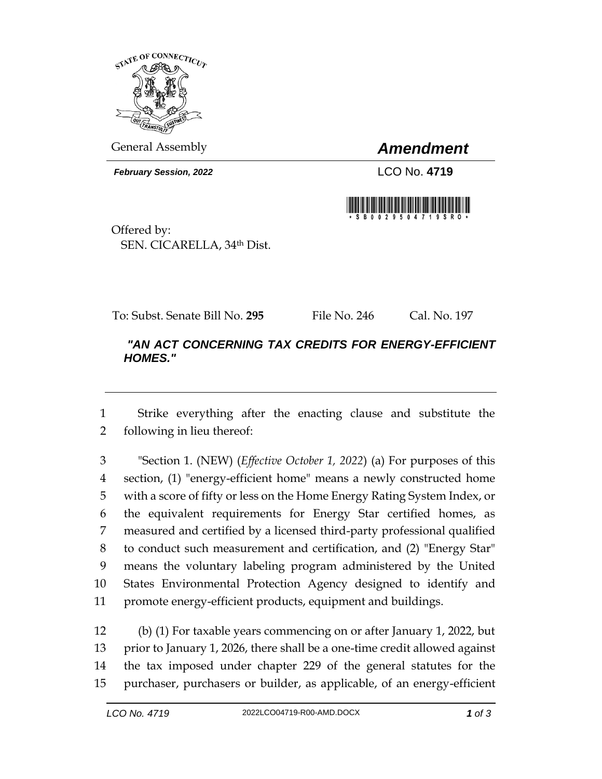

General Assembly *Amendment*

*February Session, 2022* LCO No. 4719



Offered by: SEN. CICARELLA, 34th Dist.

To: Subst. Senate Bill No. **295** File No. 246 Cal. No. 197

## *"AN ACT CONCERNING TAX CREDITS FOR ENERGY-EFFICIENT HOMES."*

 Strike everything after the enacting clause and substitute the following in lieu thereof:

 "Section 1. (NEW) (*Effective October 1, 2022*) (a) For purposes of this section, (1) "energy-efficient home" means a newly constructed home with a score of fifty or less on the Home Energy Rating System Index, or the equivalent requirements for Energy Star certified homes, as measured and certified by a licensed third-party professional qualified to conduct such measurement and certification, and (2) "Energy Star" means the voluntary labeling program administered by the United States Environmental Protection Agency designed to identify and promote energy-efficient products, equipment and buildings.

 (b) (1) For taxable years commencing on or after January 1, 2022, but prior to January 1, 2026, there shall be a one-time credit allowed against the tax imposed under chapter 229 of the general statutes for the purchaser, purchasers or builder, as applicable, of an energy-efficient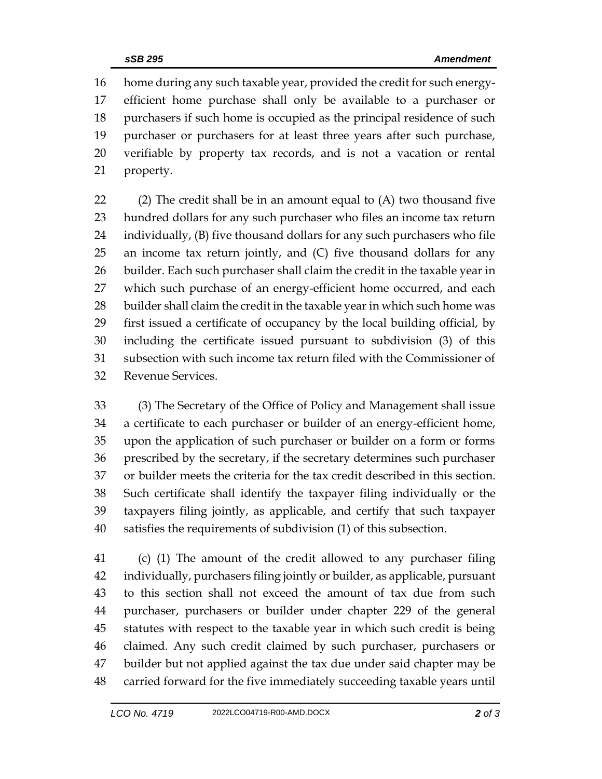home during any such taxable year, provided the credit for such energy- efficient home purchase shall only be available to a purchaser or purchasers if such home is occupied as the principal residence of such purchaser or purchasers for at least three years after such purchase, verifiable by property tax records, and is not a vacation or rental property.

 (2) The credit shall be in an amount equal to (A) two thousand five hundred dollars for any such purchaser who files an income tax return individually, (B) five thousand dollars for any such purchasers who file an income tax return jointly, and (C) five thousand dollars for any builder. Each such purchaser shall claim the credit in the taxable year in 27 which such purchase of an energy-efficient home occurred, and each builder shall claim the credit in the taxable year in which such home was first issued a certificate of occupancy by the local building official, by including the certificate issued pursuant to subdivision (3) of this subsection with such income tax return filed with the Commissioner of Revenue Services.

 (3) The Secretary of the Office of Policy and Management shall issue a certificate to each purchaser or builder of an energy-efficient home, upon the application of such purchaser or builder on a form or forms prescribed by the secretary, if the secretary determines such purchaser or builder meets the criteria for the tax credit described in this section. Such certificate shall identify the taxpayer filing individually or the taxpayers filing jointly, as applicable, and certify that such taxpayer satisfies the requirements of subdivision (1) of this subsection.

 (c) (1) The amount of the credit allowed to any purchaser filing individually, purchasers filing jointly or builder, as applicable, pursuant to this section shall not exceed the amount of tax due from such purchaser, purchasers or builder under chapter 229 of the general statutes with respect to the taxable year in which such credit is being claimed. Any such credit claimed by such purchaser, purchasers or builder but not applied against the tax due under said chapter may be carried forward for the five immediately succeeding taxable years until